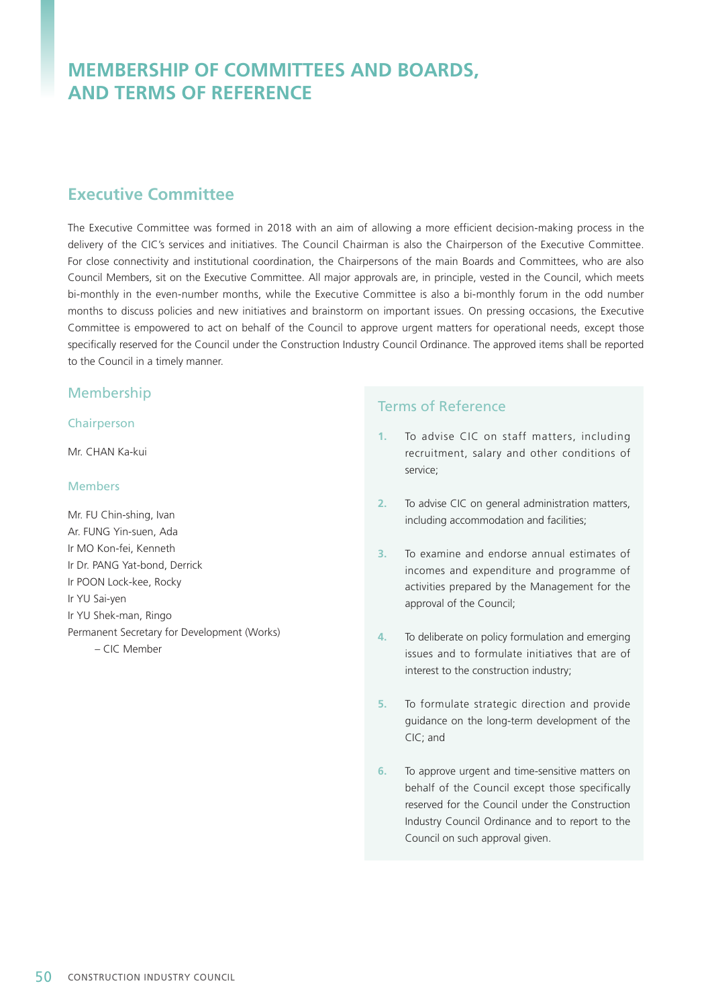# **MEMBERSHIP OF COMMITTEES AND BOARDS, AND TERMS OF REFERENCE**

## **Executive Committee**

The Executive Committee was formed in 2018 with an aim of allowing a more efficient decision-making process in the delivery of the CIC's services and initiatives. The Council Chairman is also the Chairperson of the Executive Committee. For close connectivity and institutional coordination, the Chairpersons of the main Boards and Committees, who are also Council Members, sit on the Executive Committee. All major approvals are, in principle, vested in the Council, which meets bi-monthly in the even-number months, while the Executive Committee is also a bi-monthly forum in the odd number months to discuss policies and new initiatives and brainstorm on important issues. On pressing occasions, the Executive Committee is empowered to act on behalf of the Council to approve urgent matters for operational needs, except those specifically reserved for the Council under the Construction Industry Council Ordinance. The approved items shall be reported to the Council in a timely manner.

#### Membership

#### **Chairperson**

Mr. CHAN Ka-kui

#### Members

Mr. FU Chin-shing, Ivan Ar. FUNG Yin-suen, Ada Ir MO Kon-fei, Kenneth Ir Dr. PANG Yat-bond, Derrick Ir POON Lock-kee, Rocky Ir YU Sai-yen Ir YU Shek-man, Ringo Permanent Secretary for Development (Works) – CIC Member

- **1.** To advise CIC on staff matters, including recruitment, salary and other conditions of service;
- **2.** To advise CIC on general administration matters, including accommodation and facilities;
- **3.** To examine and endorse annual estimates of incomes and expenditure and programme of activities prepared by the Management for the approval of the Council;
- **4.** To deliberate on policy formulation and emerging issues and to formulate initiatives that are of interest to the construction industry;
- **5.** To formulate strategic direction and provide guidance on the long-term development of the CIC; and
- **6.** To approve urgent and time-sensitive matters on behalf of the Council except those specifically reserved for the Council under the Construction Industry Council Ordinance and to report to the Council on such approval given.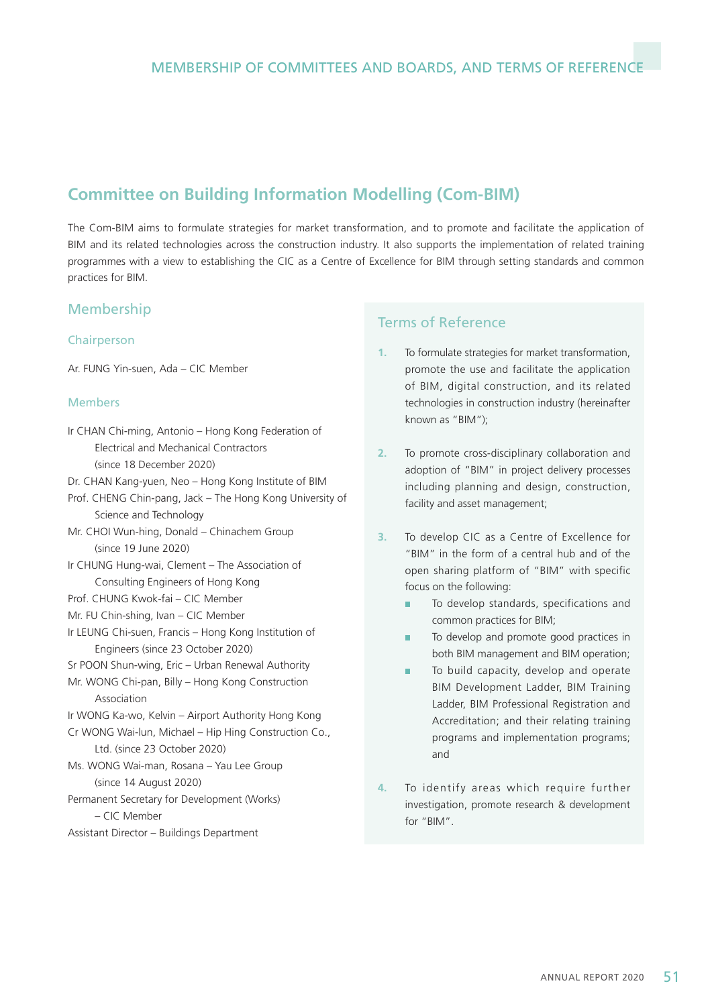# **Committee on Building Information Modelling (Com-BIM)**

The Com-BIM aims to formulate strategies for market transformation, and to promote and facilitate the application of BIM and its related technologies across the construction industry. It also supports the implementation of related training programmes with a view to establishing the CIC as a Centre of Excellence for BIM through setting standards and common practices for BIM.

## Membership

#### Chairperson

Ar. FUNG Yin-suen, Ada – CIC Member

#### Members

- Ir CHAN Chi-ming, Antonio Hong Kong Federation of Electrical and Mechanical Contractors (since 18 December 2020)
- Dr. CHAN Kang-yuen, Neo Hong Kong Institute of BIM
- Prof. CHENG Chin-pang, Jack The Hong Kong University of Science and Technology
- Mr. CHOI Wun-hing, Donald Chinachem Group (since 19 June 2020)
- Ir CHUNG Hung-wai, Clement The Association of Consulting Engineers of Hong Kong
- Prof. CHUNG Kwok-fai CIC Member
- Mr. FU Chin-shing, Ivan CIC Member
- Ir LEUNG Chi-suen, Francis Hong Kong Institution of Engineers (since 23 October 2020)
- Sr POON Shun-wing, Eric Urban Renewal Authority
- Mr. WONG Chi-pan, Billy Hong Kong Construction Association
- Ir WONG Ka-wo, Kelvin Airport Authority Hong Kong
- Cr WONG Wai-lun, Michael Hip Hing Construction Co., Ltd. (since 23 October 2020)
- Ms. WONG Wai-man, Rosana Yau Lee Group (since 14 August 2020)
- Permanent Secretary for Development (Works) – CIC Member
- Assistant Director Buildings Department

- **1.** To formulate strategies for market transformation, promote the use and facilitate the application of BIM, digital construction, and its related technologies in construction industry (hereinafter known as "BIM");
- **2.** To promote cross-disciplinary collaboration and adoption of "BIM" in project delivery processes including planning and design, construction, facility and asset management;
- **3.** To develop CIC as a Centre of Excellence for "BIM" in the form of a central hub and of the open sharing platform of "BIM" with specific focus on the following:
	- To develop standards, specifications and common practices for BIM;
	- To develop and promote good practices in both BIM management and BIM operation;
	- To build capacity, develop and operate BIM Development Ladder, BIM Training Ladder, BIM Professional Registration and Accreditation; and their relating training programs and implementation programs; and
- **4.** To identify areas which require further investigation, promote research & development for "BIM".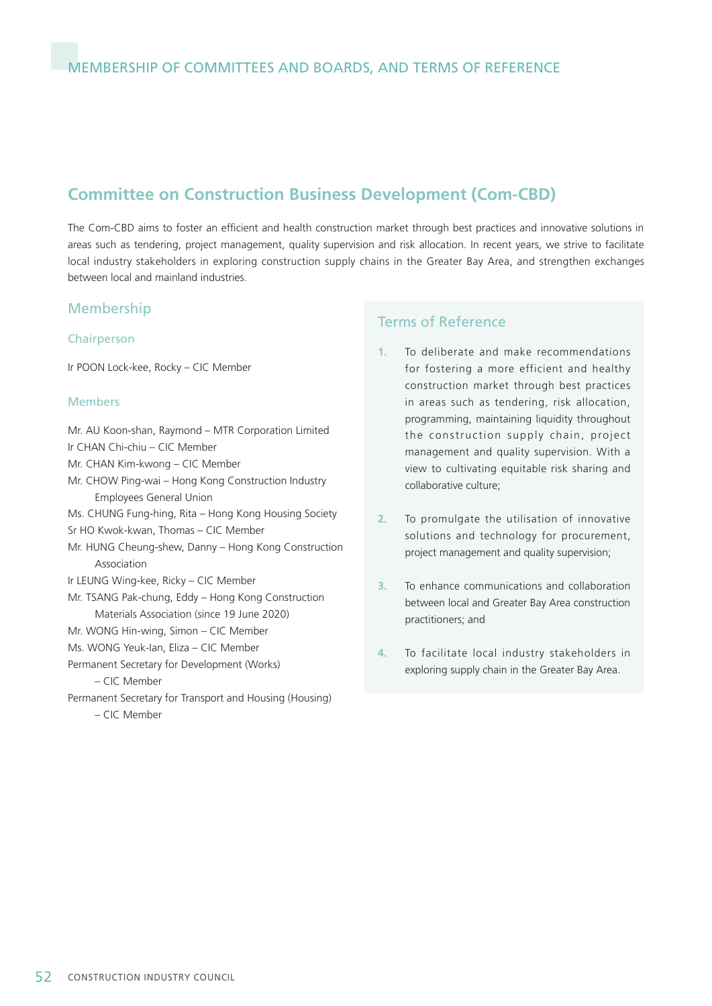## **Committee on Construction Business Development (Com-CBD)**

The Com-CBD aims to foster an efficient and health construction market through best practices and innovative solutions in areas such as tendering, project management, quality supervision and risk allocation. In recent years, we strive to facilitate local industry stakeholders in exploring construction supply chains in the Greater Bay Area, and strengthen exchanges between local and mainland industries.

#### Membership

#### Chairperson

Ir POON Lock-kee, Rocky – CIC Member

#### Members

- Mr. AU Koon-shan, Raymond MTR Corporation Limited
- Ir CHAN Chi-chiu CIC Member
- Mr. CHAN Kim-kwong CIC Member
- Mr. CHOW Ping-wai Hong Kong Construction Industry Employees General Union
- Ms. CHUNG Fung-hing, Rita Hong Kong Housing Society
- Sr HO Kwok-kwan, Thomas CIC Member
- Mr. HUNG Cheung-shew, Danny Hong Kong Construction Association
- Ir LEUNG Wing-kee, Ricky CIC Member
- Mr. TSANG Pak-chung, Eddy Hong Kong Construction Materials Association (since 19 June 2020)
- Mr. WONG Hin-wing, Simon CIC Member
- Ms. WONG Yeuk-Ian, Eliza CIC Member
- Permanent Secretary for Development (Works)

– CIC Member

Permanent Secretary for Transport and Housing (Housing) – CIC Member

- **1.** To deliberate and make recommendations for fostering a more efficient and healthy construction market through best practices in areas such as tendering, risk allocation, programming, maintaining liquidity throughout the construction supply chain, project management and quality supervision. With a view to cultivating equitable risk sharing and collaborative culture;
- **2.** To promulgate the utilisation of innovative solutions and technology for procurement, project management and quality supervision;
- **3.** To enhance communications and collaboration between local and Greater Bay Area construction practitioners; and
- **4.** To facilitate local industry stakeholders in exploring supply chain in the Greater Bay Area.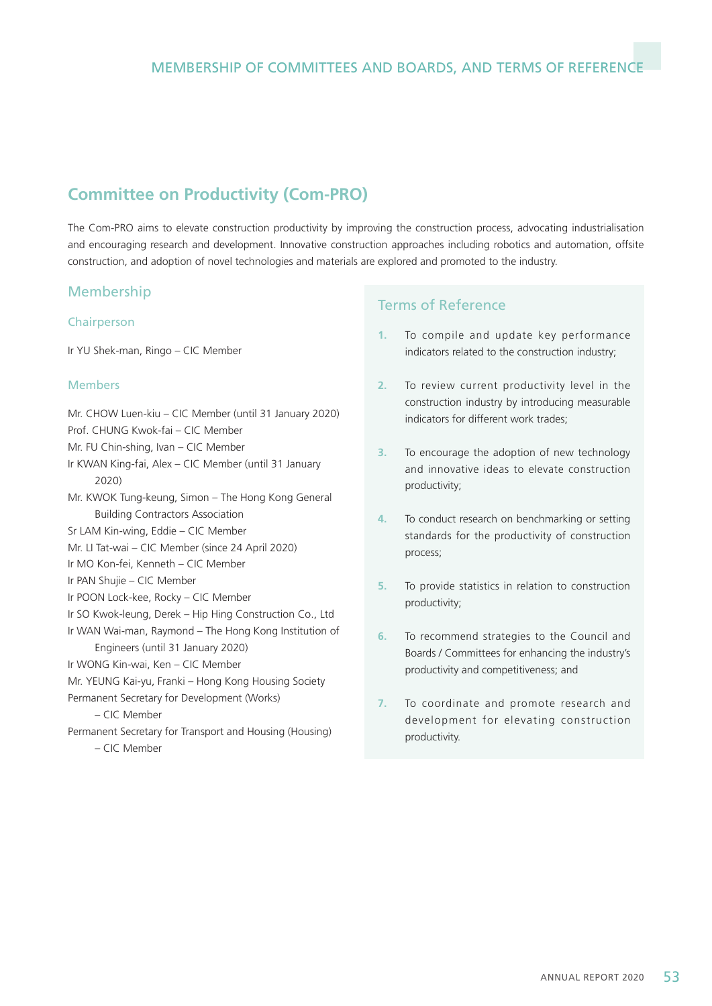# **Committee on Productivity (Com-PRO)**

The Com-PRO aims to elevate construction productivity by improving the construction process, advocating industrialisation and encouraging research and development. Innovative construction approaches including robotics and automation, offsite construction, and adoption of novel technologies and materials are explored and promoted to the industry.

## Membership

#### Chairperson

Ir YU Shek-man, Ringo – CIC Member

#### Members

- Mr. CHOW Luen-kiu CIC Member (until 31 January 2020)
- Prof. CHUNG Kwok-fai CIC Member
- Mr. FU Chin-shing, Ivan CIC Member
- Ir KWAN King-fai, Alex CIC Member (until 31 January 2020)
- Mr. KWOK Tung-keung, Simon The Hong Kong General Building Contractors Association
- Sr LAM Kin-wing, Eddie CIC Member
- Mr. LI Tat-wai CIC Member (since 24 April 2020)
- Ir MO Kon-fei, Kenneth CIC Member
- Ir PAN Shujie CIC Member
- Ir POON Lock-kee, Rocky CIC Member
- Ir SO Kwok-leung, Derek Hip Hing Construction Co., Ltd
- Ir WAN Wai-man, Raymond The Hong Kong Institution of Engineers (until 31 January 2020)
- Ir WONG Kin-wai, Ken CIC Member
- Mr. YEUNG Kai-yu, Franki Hong Kong Housing Society
- Permanent Secretary for Development (Works)

– CIC Member

Permanent Secretary for Transport and Housing (Housing) – CIC Member

- **1.** To compile and update key performance indicators related to the construction industry;
- **2.** To review current productivity level in the construction industry by introducing measurable indicators for different work trades;
- **3.** To encourage the adoption of new technology and innovative ideas to elevate construction productivity;
- **4.** To conduct research on benchmarking or setting standards for the productivity of construction process;
- **5.** To provide statistics in relation to construction productivity;
- **6.** To recommend strategies to the Council and Boards / Committees for enhancing the industry's productivity and competitiveness; and
- **7.** To coordinate and promote research and development for elevating construction productivity.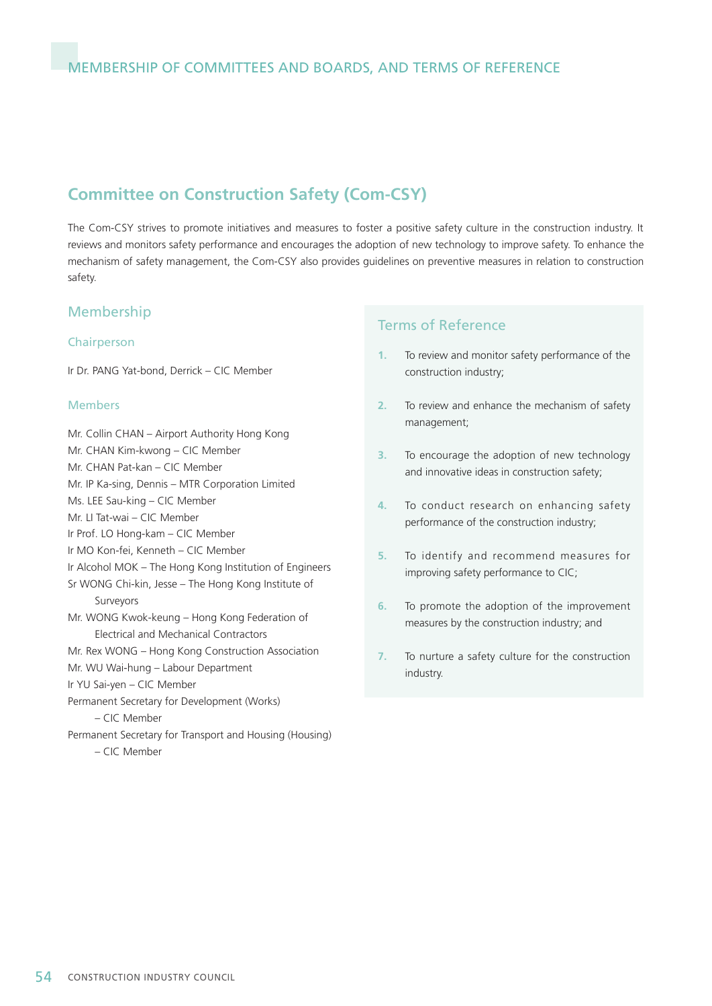## **Committee on Construction Safety (Com-CSY)**

The Com-CSY strives to promote initiatives and measures to foster a positive safety culture in the construction industry. It reviews and monitors safety performance and encourages the adoption of new technology to improve safety. To enhance the mechanism of safety management, the Com-CSY also provides guidelines on preventive measures in relation to construction safety.

### Membership

#### Chairperson

Ir Dr. PANG Yat-bond, Derrick – CIC Member

#### Members

Mr. Collin CHAN – Airport Authority Hong Kong Mr. CHAN Kim-kwong – CIC Member Mr. CHAN Pat-kan – CIC Member Mr. IP Ka-sing, Dennis – MTR Corporation Limited Ms. LEE Sau-king – CIC Member Mr. LI Tat-wai – CIC Member Ir Prof. LO Hong-kam – CIC Member Ir MO Kon-fei, Kenneth – CIC Member Ir Alcohol MOK – The Hong Kong Institution of Engineers Sr WONG Chi-kin, Jesse – The Hong Kong Institute of Surveyors Mr. WONG Kwok-keung – Hong Kong Federation of Electrical and Mechanical Contractors Mr. Rex WONG – Hong Kong Construction Association Mr. WU Wai-hung – Labour Department Ir YU Sai-yen – CIC Member Permanent Secretary for Development (Works) – CIC Member Permanent Secretary for Transport and Housing (Housing) – CIC Member

- **1.** To review and monitor safety performance of the construction industry;
- **2.** To review and enhance the mechanism of safety management;
- **3.** To encourage the adoption of new technology and innovative ideas in construction safety;
- **4.** To conduct research on enhancing safety performance of the construction industry;
- **5.** To identify and recommend measures for improving safety performance to CIC;
- **6.** To promote the adoption of the improvement measures by the construction industry; and
- **7.** To nurture a safety culture for the construction industry.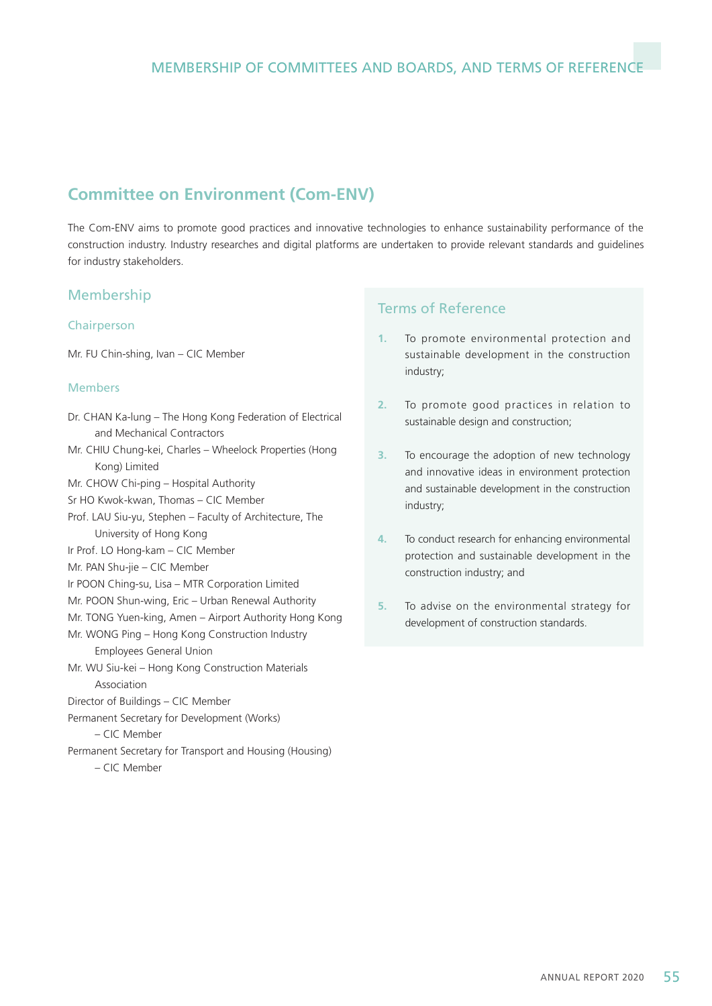# **Committee on Environment (Com-ENV)**

The Com-ENV aims to promote good practices and innovative technologies to enhance sustainability performance of the construction industry. Industry researches and digital platforms are undertaken to provide relevant standards and guidelines for industry stakeholders.

#### Membership

#### Chairperson

Mr. FU Chin-shing, Ivan – CIC Member

#### Members

- Dr. CHAN Ka-lung The Hong Kong Federation of Electrical and Mechanical Contractors
- Mr. CHIU Chung-kei, Charles Wheelock Properties (Hong Kong) Limited
- Mr. CHOW Chi-ping Hospital Authority
- Sr HO Kwok-kwan, Thomas CIC Member
- Prof. LAU Siu-yu, Stephen Faculty of Architecture, The University of Hong Kong
- Ir Prof. LO Hong-kam CIC Member
- Mr. PAN Shu-jie CIC Member
- Ir POON Ching-su, Lisa MTR Corporation Limited
- Mr. POON Shun-wing, Eric Urban Renewal Authority
- Mr. TONG Yuen-king, Amen Airport Authority Hong Kong
- Mr. WONG Ping Hong Kong Construction Industry Employees General Union
- Mr. WU Siu-kei Hong Kong Construction Materials Association
- Director of Buildings CIC Member
- Permanent Secretary for Development (Works)

– CIC Member

Permanent Secretary for Transport and Housing (Housing) – CIC Member

- **1.** To promote environmental protection and sustainable development in the construction industry;
- **2.** To promote good practices in relation to sustainable design and construction;
- **3.** To encourage the adoption of new technology and innovative ideas in environment protection and sustainable development in the construction industry;
- **4.** To conduct research for enhancing environmental protection and sustainable development in the construction industry; and
- **5.** To advise on the environmental strategy for development of construction standards.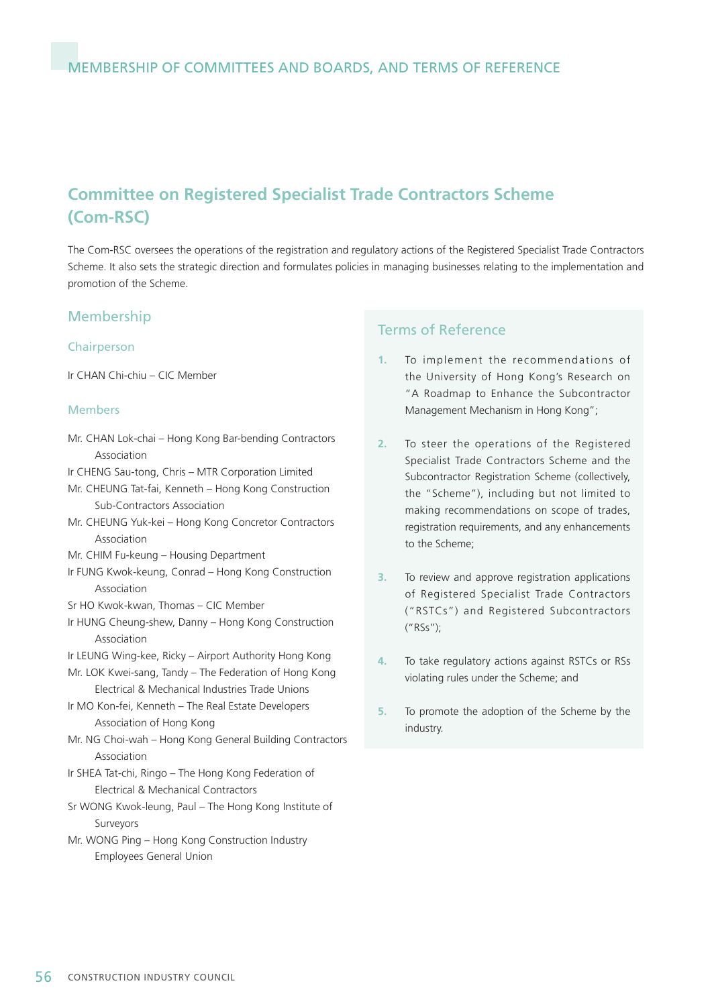# **Committee on Registered Specialist Trade Contractors Scheme (Com-RSC)**

The Com-RSC oversees the operations of the registration and regulatory actions of the Registered Specialist Trade Contractors Scheme. It also sets the strategic direction and formulates policies in managing businesses relating to the implementation and promotion of the Scheme.

#### Membership

#### Chairperson

Ir CHAN Chi-chiu – CIC Member

#### Members

- Mr. CHAN Lok-chai Hong Kong Bar-bending Contractors Association
- Ir CHENG Sau-tong, Chris MTR Corporation Limited
- Mr. CHEUNG Tat-fai, Kenneth Hong Kong Construction Sub-Contractors Association
- Mr. CHEUNG Yuk-kei Hong Kong Concretor Contractors Association
- Mr. CHIM Fu-keung Housing Department
- Ir FUNG Kwok-keung, Conrad Hong Kong Construction Association
- Sr HO Kwok-kwan, Thomas CIC Member
- Ir HUNG Cheung-shew, Danny Hong Kong Construction Association
- Ir LEUNG Wing-kee, Ricky Airport Authority Hong Kong
- Mr. LOK Kwei-sang, Tandy The Federation of Hong Kong Electrical & Mechanical Industries Trade Unions
- Ir MO Kon-fei, Kenneth The Real Estate Developers Association of Hong Kong
- Mr. NG Choi-wah Hong Kong General Building Contractors Association
- Ir SHEA Tat-chi, Ringo The Hong Kong Federation of Electrical & Mechanical Contractors
- Sr WONG Kwok-leung, Paul The Hong Kong Institute of Surveyors
- Mr. WONG Ping Hong Kong Construction Industry Employees General Union

- **1.** To implement the recommendations of the University of Hong Kong's Research on "A Roadmap to Enhance the Subcontractor Management Mechanism in Hong Kong";
- **2.** To steer the operations of the Registered Specialist Trade Contractors Scheme and the Subcontractor Registration Scheme (collectively, the "Scheme"), including but not limited to making recommendations on scope of trades, registration requirements, and any enhancements to the Scheme;
- **3.** To review and approve registration applications of Registered Specialist Trade Contractors ("RSTCs") and Registered Subcontractors ("RSs");
- **4.** To take regulatory actions against RSTCs or RSs violating rules under the Scheme; and
- **5.** To promote the adoption of the Scheme by the industry.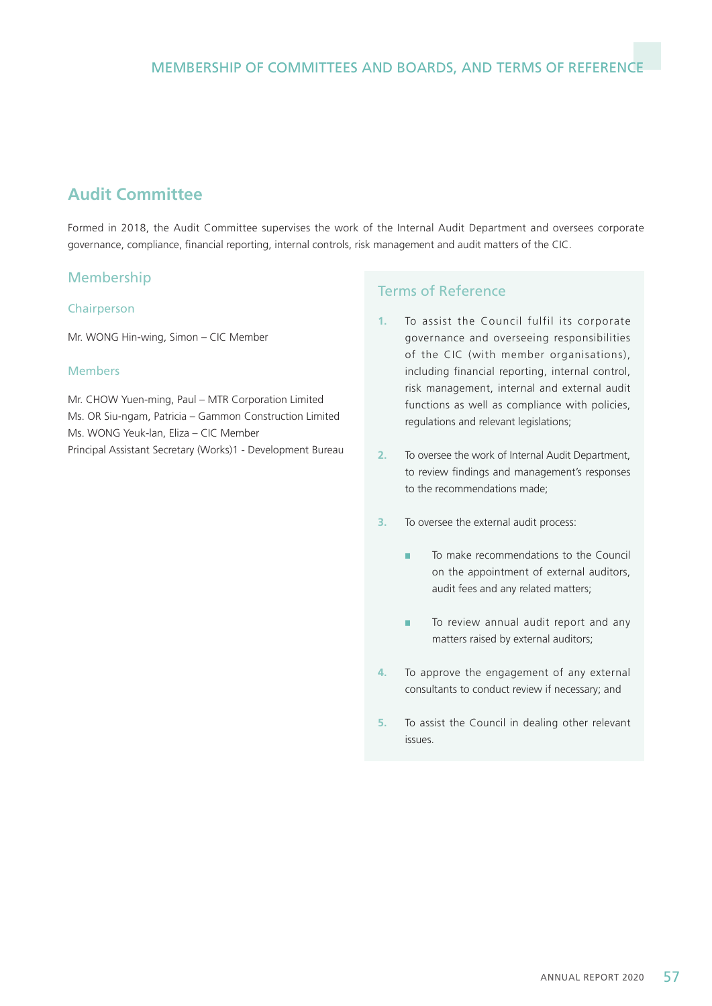# **Audit Committee**

Formed in 2018, the Audit Committee supervises the work of the Internal Audit Department and oversees corporate governance, compliance, financial reporting, internal controls, risk management and audit matters of the CIC.

## Membership

#### Chairperson

Mr. WONG Hin-wing, Simon – CIC Member

#### Members

Mr. CHOW Yuen-ming, Paul – MTR Corporation Limited Ms. OR Siu-ngam, Patricia – Gammon Construction Limited Ms. WONG Yeuk-lan, Eliza – CIC Member Principal Assistant Secretary (Works)1 - Development Bureau

- **1.** To assist the Council fulfil its corporate governance and overseeing responsibilities of the CIC (with member organisations), including financial reporting, internal control, risk management, internal and external audit functions as well as compliance with policies, regulations and relevant legislations;
- **2.** To oversee the work of Internal Audit Department, to review findings and management's responses to the recommendations made;
- **3.** To oversee the external audit process:
	- To make recommendations to the Council a. on the appointment of external auditors, audit fees and any related matters;
	- É To review annual audit report and any matters raised by external auditors;
- **4.** To approve the engagement of any external consultants to conduct review if necessary; and
- **5.** To assist the Council in dealing other relevant issues.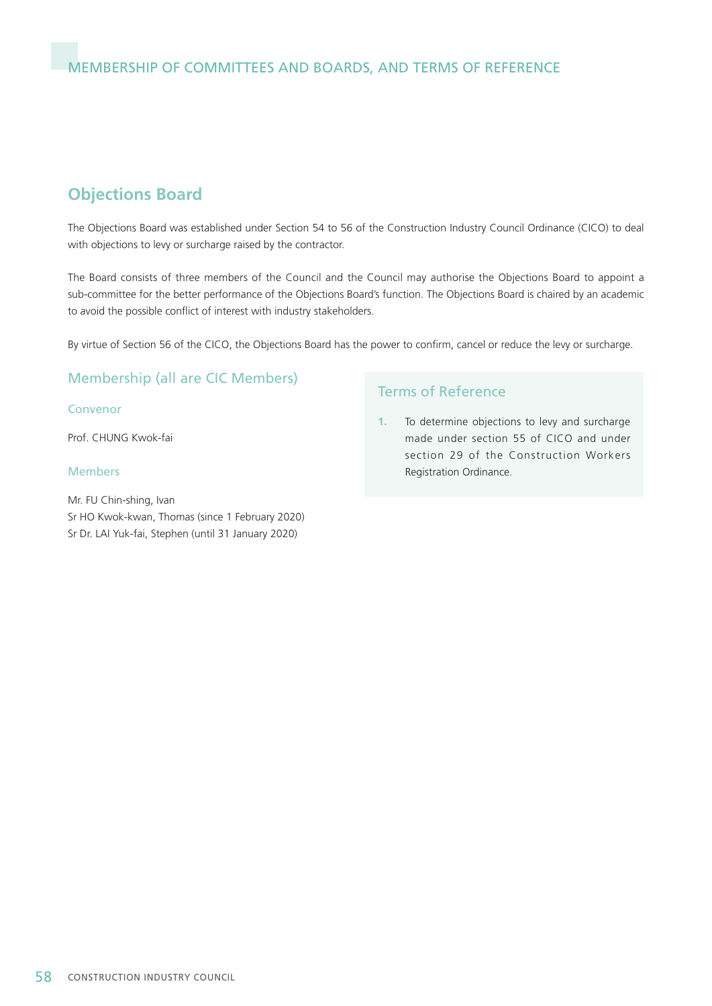# **Objections Board**

The Objections Board was established under Section 54 to 56 of the Construction Industry Council Ordinance (CICO) to deal with objections to levy or surcharge raised by the contractor.

The Board consists of three members of the Council and the Council may authorise the Objections Board to appoint a sub-committee for the better performance of the Objections Board's function. The Objections Board is chaired by an academic to avoid the possible conflict of interest with industry stakeholders.

By virtue of Section 56 of the CICO, the Objections Board has the power to confirm, cancel or reduce the levy or surcharge.

## Membership (all are CIC Members)

#### Convenor

Prof. CHUNG Kwok-fai

#### Members

Mr. FU Chin-shing, Ivan Sr HO Kwok-kwan, Thomas (since 1 February 2020) Sr Dr. LAI Yuk-fai, Stephen (until 31 January 2020)

## Terms of Reference

**1.** To determine objections to levy and surcharge made under section 55 of CICO and under section 29 of the Construction Workers Registration Ordinance.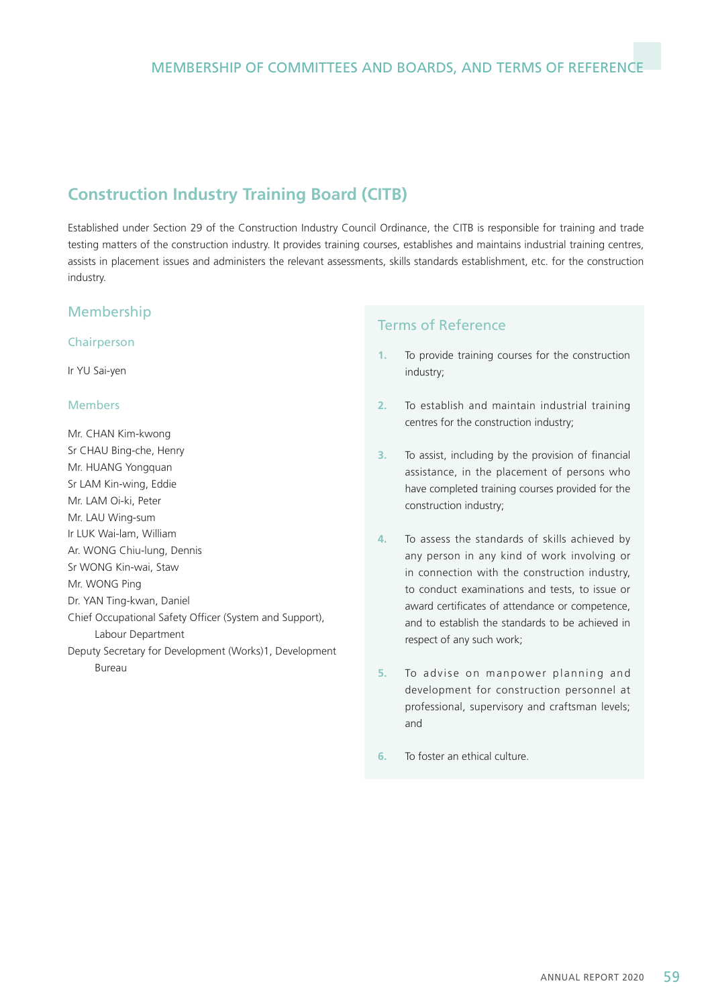# **Construction Industry Training Board (CITB)**

Established under Section 29 of the Construction Industry Council Ordinance, the CITB is responsible for training and trade testing matters of the construction industry. It provides training courses, establishes and maintains industrial training centres, assists in placement issues and administers the relevant assessments, skills standards establishment, etc. for the construction industry.

## Membership

#### Chairperson

Ir YU Sai-yen

#### Members

Mr. CHAN Kim-kwong Sr CHAU Bing-che, Henry Mr. HUANG Yongquan Sr LAM Kin-wing, Eddie Mr. LAM Oi-ki, Peter Mr. LAU Wing-sum Ir LUK Wai-lam, William Ar. WONG Chiu-lung, Dennis Sr WONG Kin-wai, Staw Mr. WONG Ping Dr. YAN Ting-kwan, Daniel Chief Occupational Safety Officer (System and Support), Labour Department Deputy Secretary for Development (Works)1, Development Bureau

- **1.** To provide training courses for the construction industry;
- **2.** To establish and maintain industrial training centres for the construction industry;
- **3.** To assist, including by the provision of financial assistance, in the placement of persons who have completed training courses provided for the construction industry;
- **4.** To assess the standards of skills achieved by any person in any kind of work involving or in connection with the construction industry, to conduct examinations and tests, to issue or award certificates of attendance or competence, and to establish the standards to be achieved in respect of any such work;
- **5.** To advise on manpower planning and development for construction personnel at professional, supervisory and craftsman levels; and
- **6.** To foster an ethical culture.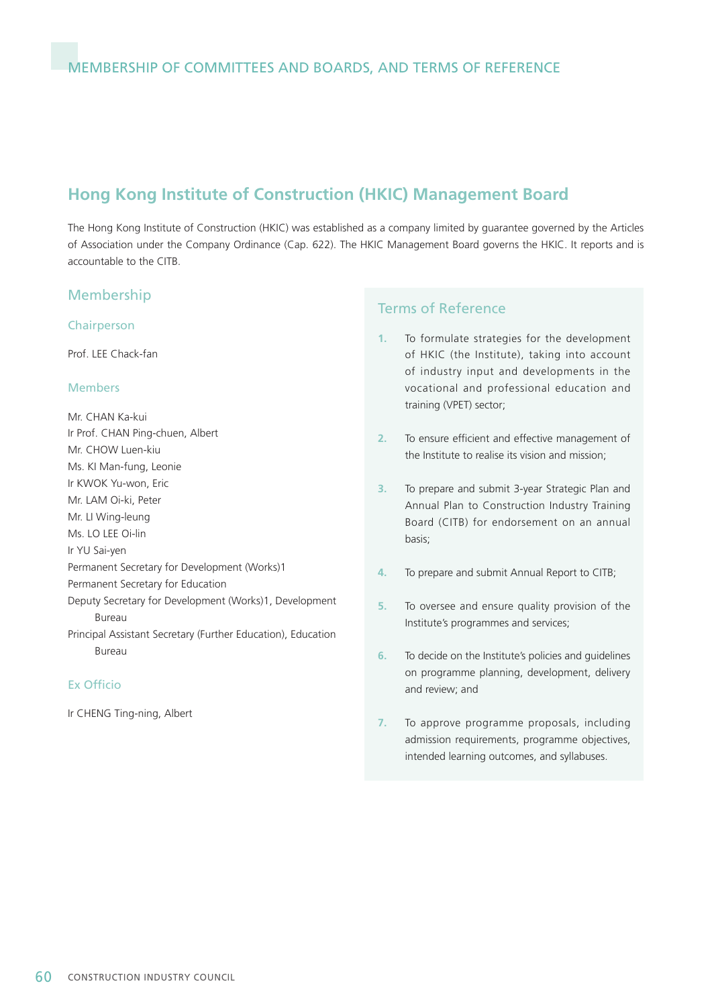# **Hong Kong Institute of Construction (HKIC) Management Board**

The Hong Kong Institute of Construction (HKIC) was established as a company limited by guarantee governed by the Articles of Association under the Company Ordinance (Cap. 622). The HKIC Management Board governs the HKIC. It reports and is accountable to the CITB.

#### Membership

#### Chairperson

Prof. LEE Chack-fan

#### Members

Mr. CHAN Ka-kui Ir Prof. CHAN Ping-chuen, Albert Mr. CHOW Luen-kiu Ms. KI Man-fung, Leonie Ir KWOK Yu-won, Eric Mr. LAM Oi-ki, Peter Mr. LI Wing-leung Ms. LO LEE Oi-lin Ir YU Sai-yen Permanent Secretary for Development (Works)1 Permanent Secretary for Education Deputy Secretary for Development (Works)1, Development Bureau Principal Assistant Secretary (Further Education), Education Bureau

#### Ex Officio

Ir CHENG Ting-ning, Albert

- **1.** To formulate strategies for the development of HKIC (the Institute), taking into account of industry input and developments in the vocational and professional education and training (VPET) sector;
- **2.** To ensure efficient and effective management of the Institute to realise its vision and mission;
- **3.** To prepare and submit 3-year Strategic Plan and Annual Plan to Construction Industry Training Board (CITB) for endorsement on an annual basis;
- **4.** To prepare and submit Annual Report to CITB;
- **5.** To oversee and ensure quality provision of the Institute's programmes and services;
- **6.** To decide on the Institute's policies and guidelines on programme planning, development, delivery and review; and
- **7.** To approve programme proposals, including admission requirements, programme objectives, intended learning outcomes, and syllabuses.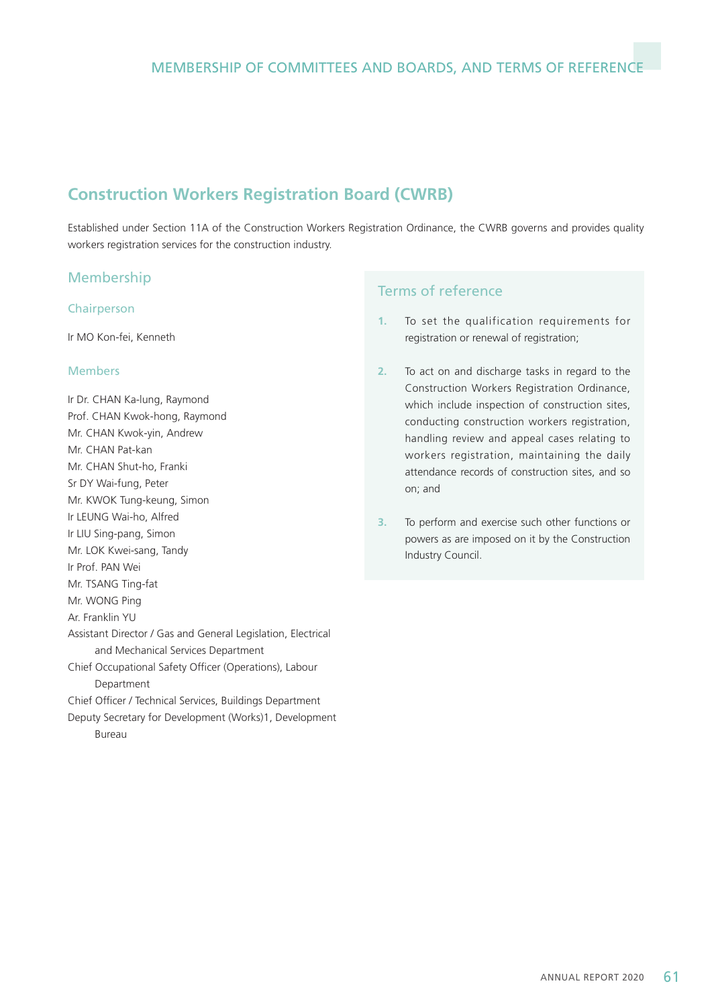# **Construction Workers Registration Board (CWRB)**

Established under Section 11A of the Construction Workers Registration Ordinance, the CWRB governs and provides quality workers registration services for the construction industry.

## Membership

#### Chairperson

Ir MO Kon-fei, Kenneth

#### Members

Ir Dr. CHAN Ka-lung, Raymond Prof. CHAN Kwok-hong, Raymond Mr. CHAN Kwok-yin, Andrew Mr. CHAN Pat-kan Mr. CHAN Shut-ho, Franki Sr DY Wai-fung, Peter Mr. KWOK Tung-keung, Simon Ir LEUNG Wai-ho, Alfred Ir LIU Sing-pang, Simon Mr. LOK Kwei-sang, Tandy Ir Prof. PAN Wei Mr. TSANG Ting-fat Mr. WONG Ping Ar. Franklin YU Assistant Director / Gas and General Legislation, Electrical and Mechanical Services Department Chief Occupational Safety Officer (Operations), Labour Department Chief Officer / Technical Services, Buildings Department Deputy Secretary for Development (Works)1, Development Bureau

- **1.** To set the qualification requirements for registration or renewal of registration;
- **2.** To act on and discharge tasks in regard to the Construction Workers Registration Ordinance, which include inspection of construction sites. conducting construction workers registration, handling review and appeal cases relating to workers registration, maintaining the daily attendance records of construction sites, and so on; and
- **3.** To perform and exercise such other functions or powers as are imposed on it by the Construction Industry Council.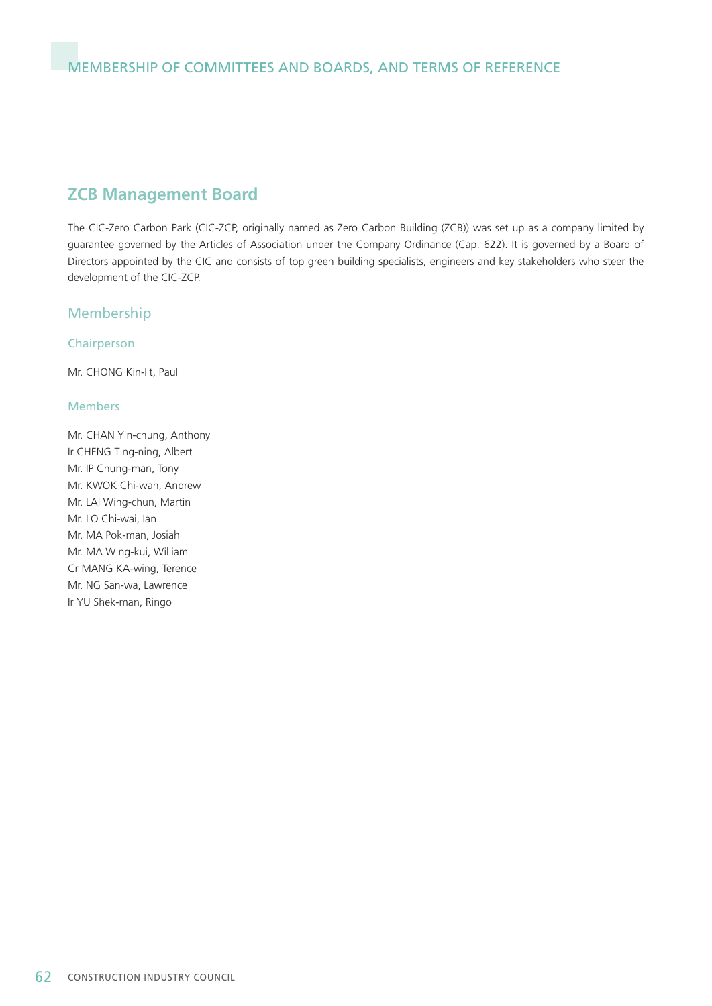## **ZCB Management Board**

The CIC-Zero Carbon Park (CIC-ZCP, originally named as Zero Carbon Building (ZCB)) was set up as a company limited by guarantee governed by the Articles of Association under the Company Ordinance (Cap. 622). It is governed by a Board of Directors appointed by the CIC and consists of top green building specialists, engineers and key stakeholders who steer the development of the CIC-ZCP.

## Membership

#### Chairperson

Mr. CHONG Kin-lit, Paul

#### Members

Mr. CHAN Yin-chung, Anthony Ir CHENG Ting-ning, Albert Mr. IP Chung-man, Tony Mr. KWOK Chi-wah, Andrew Mr. LAI Wing-chun, Martin Mr. LO Chi-wai, Ian Mr. MA Pok-man, Josiah Mr. MA Wing-kui, William Cr MANG KA-wing, Terence Mr. NG San-wa, Lawrence Ir YU Shek-man, Ringo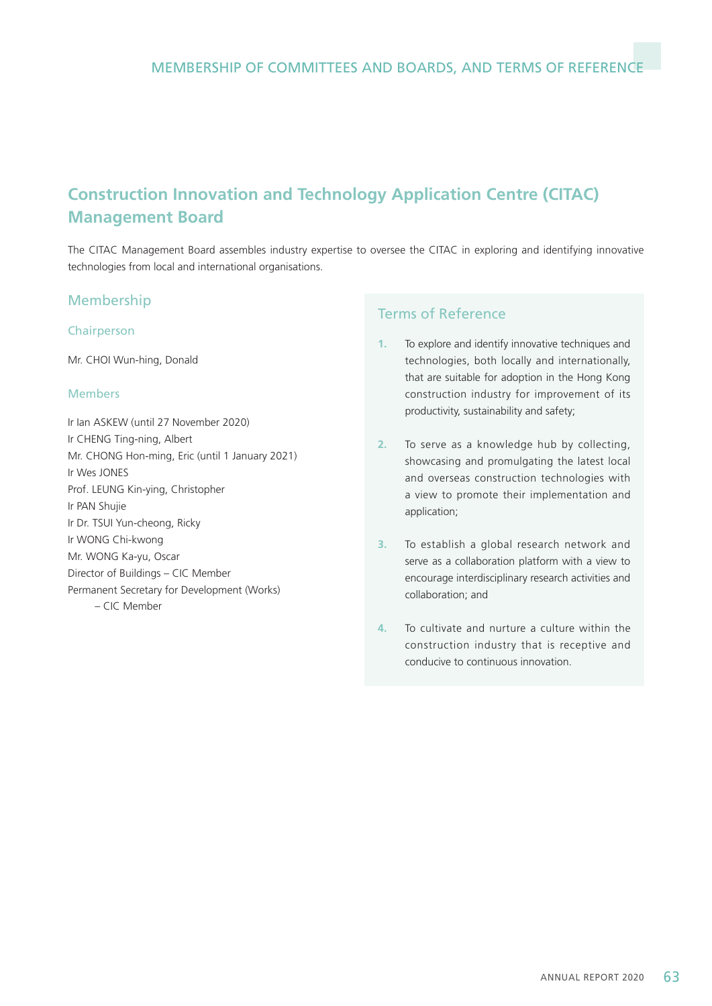# **Construction Innovation and Technology Application Centre (CITAC) Management Board**

The CITAC Management Board assembles industry expertise to oversee the CITAC in exploring and identifying innovative technologies from local and international organisations.

#### Membership

#### Chairperson

Mr. CHOI Wun-hing, Donald

#### Members

Ir Ian ASKEW (until 27 November 2020) Ir CHENG Ting-ning, Albert Mr. CHONG Hon-ming, Eric (until 1 January 2021) Ir Wes JONES Prof. LEUNG Kin-ying, Christopher Ir PAN Shujie Ir Dr. TSUI Yun-cheong, Ricky Ir WONG Chi-kwong Mr. WONG Ka-yu, Oscar Director of Buildings – CIC Member Permanent Secretary for Development (Works) – CIC Member

- **1.** To explore and identify innovative techniques and technologies, both locally and internationally, that are suitable for adoption in the Hong Kong construction industry for improvement of its productivity, sustainability and safety;
- **2.** To serve as a knowledge hub by collecting, showcasing and promulgating the latest local and overseas construction technologies with a view to promote their implementation and application;
- **3.** To establish a global research network and serve as a collaboration platform with a view to encourage interdisciplinary research activities and collaboration; and
- **4.** To cultivate and nurture a culture within the construction industry that is receptive and conducive to continuous innovation.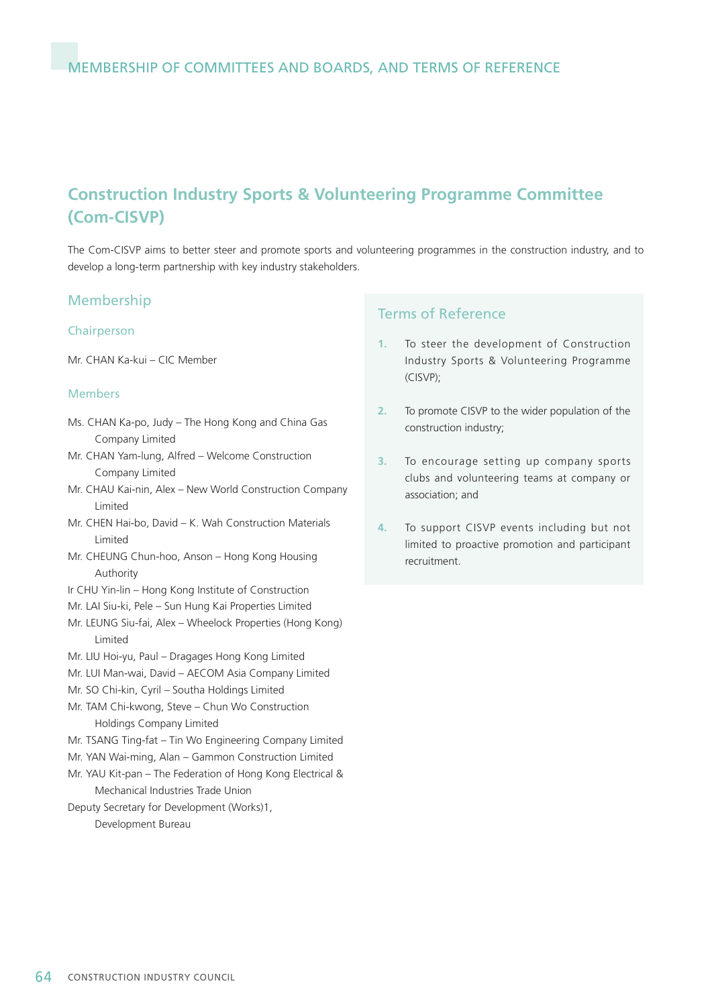# **Construction Industry Sports & Volunteering Programme Committee (Com-CISVP)**

The Com-CISVP aims to better steer and promote sports and volunteering programmes in the construction industry, and to develop a long-term partnership with key industry stakeholders.

#### Membership

#### Chairperson

Mr. CHAN Ka-kui – CIC Member

#### Members

- Ms. CHAN Ka-po, Judy The Hong Kong and China Gas Company Limited
- Mr. CHAN Yam-lung, Alfred Welcome Construction Company Limited
- Mr. CHAU Kai-nin, Alex New World Construction Company Limited
- Mr. CHEN Hai-bo, David K. Wah Construction Materials Limited
- Mr. CHEUNG Chun-hoo, Anson Hong Kong Housing Authority
- Ir CHU Yin-lin Hong Kong Institute of Construction
- Mr. LAI Siu-ki, Pele Sun Hung Kai Properties Limited
- Mr. LEUNG Siu-fai, Alex Wheelock Properties (Hong Kong) Limited
- Mr. LIU Hoi-yu, Paul Dragages Hong Kong Limited
- Mr. LUI Man-wai, David AECOM Asia Company Limited
- Mr. SO Chi-kin, Cyril Southa Holdings Limited
- Mr. TAM Chi-kwong, Steve Chun Wo Construction Holdings Company Limited
- Mr. TSANG Ting-fat Tin Wo Engineering Company Limited
- Mr. YAN Wai-ming, Alan Gammon Construction Limited
- Mr. YAU Kit-pan The Federation of Hong Kong Electrical & Mechanical Industries Trade Union
- Deputy Secretary for Development (Works)1,

Development Bureau

- **1.** To steer the development of Construction Industry Sports & Volunteering Programme (CISVP);
- **2.** To promote CISVP to the wider population of the construction industry;
- **3.** To encourage setting up company sports clubs and volunteering teams at company or association; and
- **4.** To support CISVP events including but not limited to proactive promotion and participant recruitment.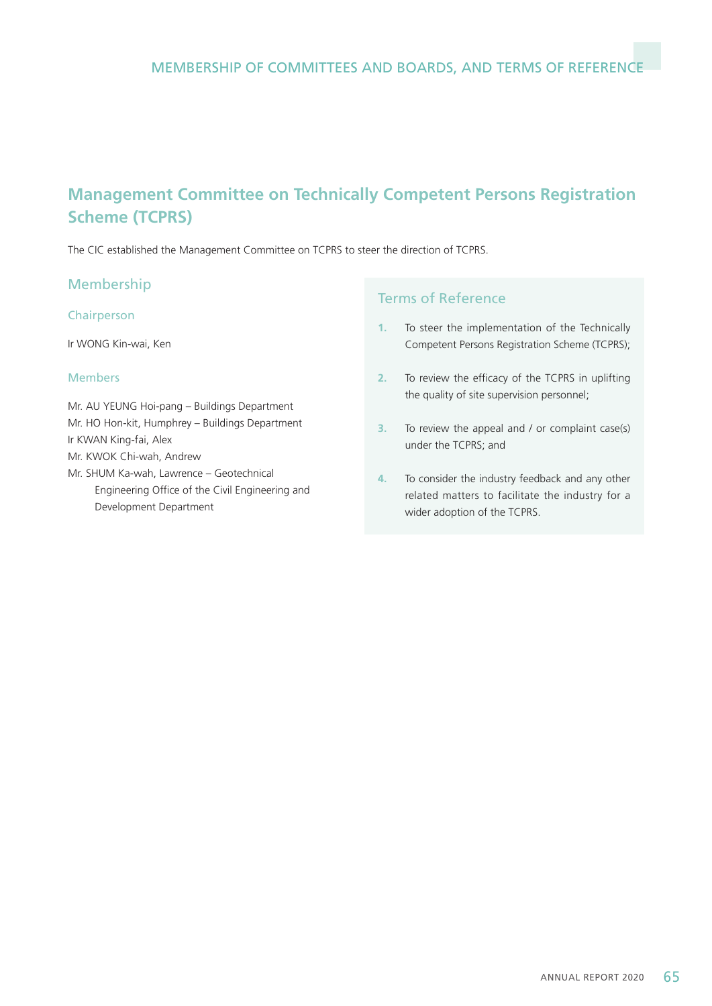# **Management Committee on Technically Competent Persons Registration Scheme (TCPRS)**

The CIC established the Management Committee on TCPRS to steer the direction of TCPRS.

## Membership

#### Chairperson

Ir WONG Kin-wai, Ken

#### Members

Mr. AU YEUNG Hoi-pang – Buildings Department Mr. HO Hon-kit, Humphrey – Buildings Department Ir KWAN King-fai, Alex

Mr. KWOK Chi-wah, Andrew

Mr. SHUM Ka-wah, Lawrence – Geotechnical Engineering Office of the Civil Engineering and Development Department

- **1.** To steer the implementation of the Technically Competent Persons Registration Scheme (TCPRS);
- **2.** To review the efficacy of the TCPRS in uplifting the quality of site supervision personnel;
- **3.** To review the appeal and / or complaint case(s) under the TCPRS; and
- **4.** To consider the industry feedback and any other related matters to facilitate the industry for a wider adoption of the TCPRS.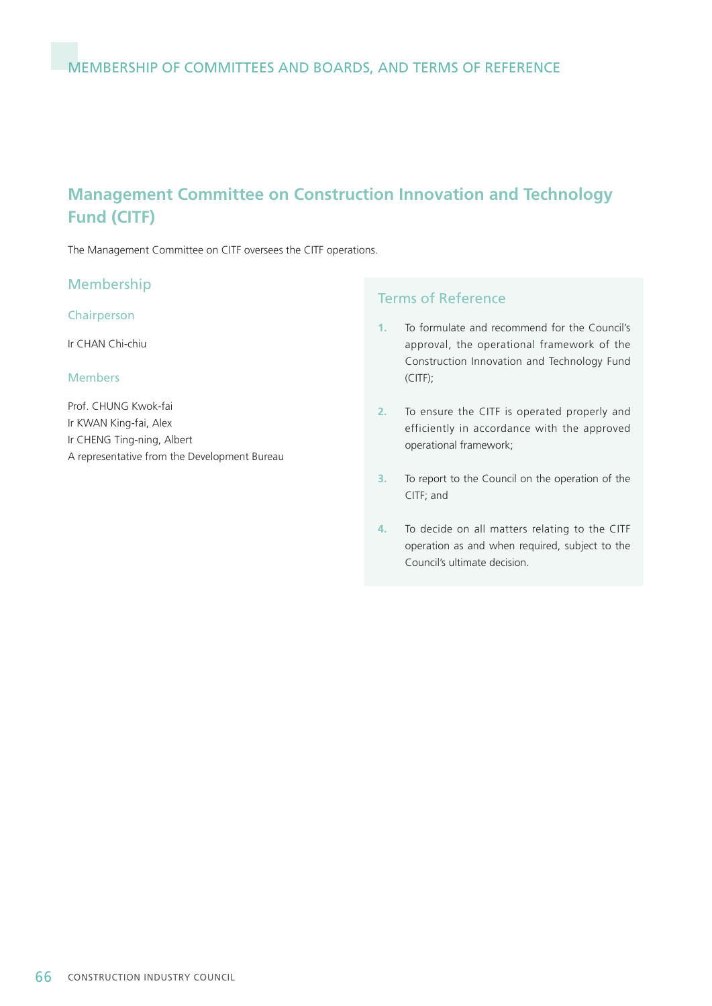# **Management Committee on Construction Innovation and Technology Fund (CITF)**

The Management Committee on CITF oversees the CITF operations.

#### Membership

#### Chairperson

Ir CHAN Chi-chiu

#### Members

Prof. CHUNG Kwok-fai Ir KWAN King-fai, Alex Ir CHENG Ting-ning, Albert A representative from the Development Bureau

- **1.** To formulate and recommend for the Council's approval, the operational framework of the Construction Innovation and Technology Fund (CITF);
- **2.** To ensure the CITF is operated properly and efficiently in accordance with the approved operational framework;
- **3.** To report to the Council on the operation of the CITF; and
- **4.** To decide on all matters relating to the CITF operation as and when required, subject to the Council's ultimate decision.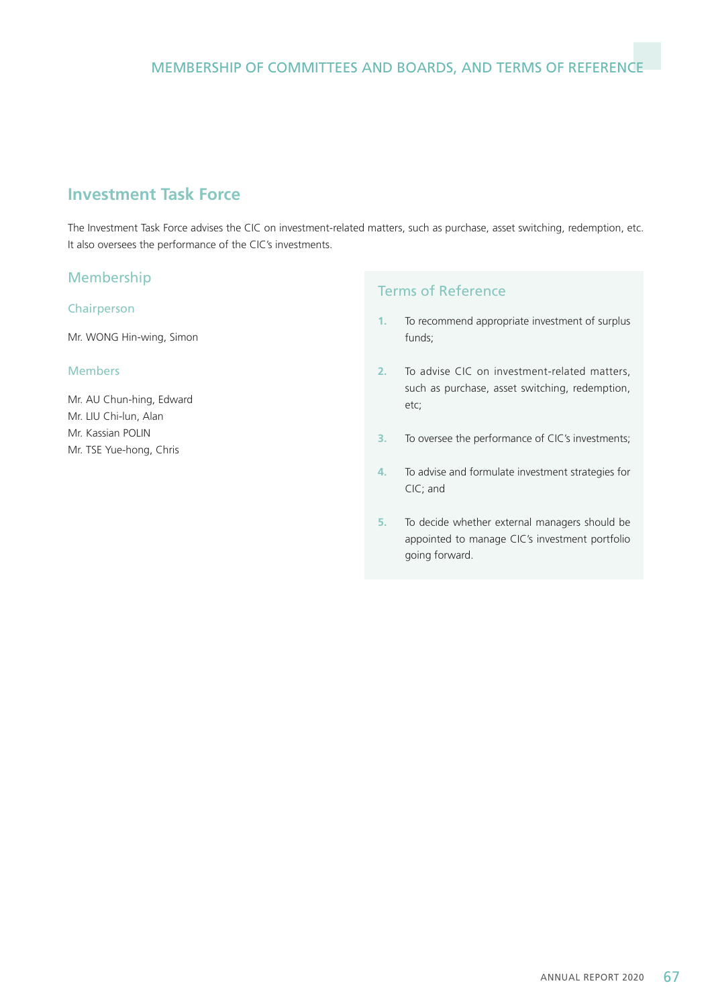## **Investment Task Force**

The Investment Task Force advises the CIC on investment-related matters, such as purchase, asset switching, redemption, etc. It also oversees the performance of the CIC's investments.

## Membership

#### Chairperson

Mr. WONG Hin-wing, Simon

#### Members

Mr. AU Chun-hing, Edward Mr. LIU Chi-lun, Alan Mr. Kassian POLIN Mr. TSE Yue-hong, Chris

- **1.** To recommend appropriate investment of surplus funds;
- **2.** To advise CIC on investment-related matters, such as purchase, asset switching, redemption, etc;
- **3.** To oversee the performance of CIC's investments;
- **4.** To advise and formulate investment strategies for CIC; and
- **5.** To decide whether external managers should be appointed to manage CIC's investment portfolio going forward.